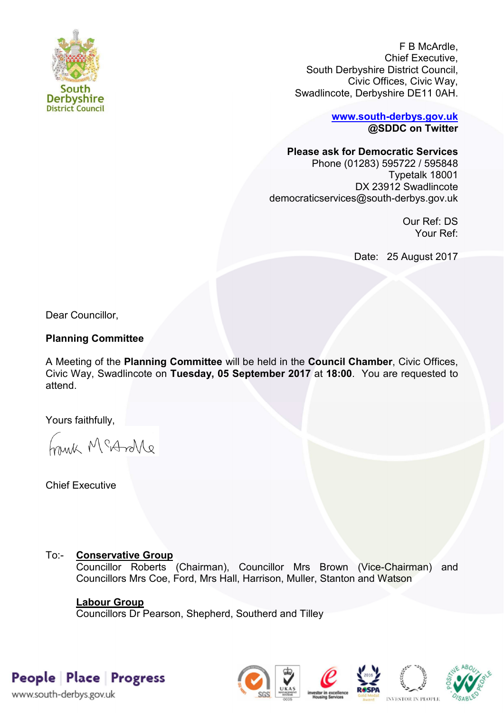

F B McArdle, Chief Executive, South Derbyshire District Council, Civic Offices, Civic Way, Swadlincote, Derbyshire DE11 0AH.

> **[www.south-derbys.gov.uk](http://www.south-derbys.gov.uk/) @SDDC on Twitter**

**Please ask for Democratic Services** 

Phone (01283) 595722 / 595848 Typetalk 18001 DX 23912 Swadlincote democraticservices@south-derbys.gov.uk

> Our Ref: DS Your Ref:

Date: 25 August 2017

Dear Councillor,

### **Planning Committee**

A Meeting of the **Planning Committee** will be held in the **Council Chamber**, Civic Offices, Civic Way, Swadlincote on **Tuesday, 05 September 2017** at **18:00**. You are requested to attend.

Yours faithfully,

brisk McAndre

Chief Executive

# To:- **Conservative Group**

Councillor Roberts (Chairman), Councillor Mrs Brown (Vice-Chairman) and Councillors Mrs Coe, Ford, Mrs Hall, Harrison, Muller, Stanton and Watson

## **Labour Group**

Councillors Dr Pearson, Shepherd, Southerd and Tilley

People Place Progress

www.south-derbys.gov.uk